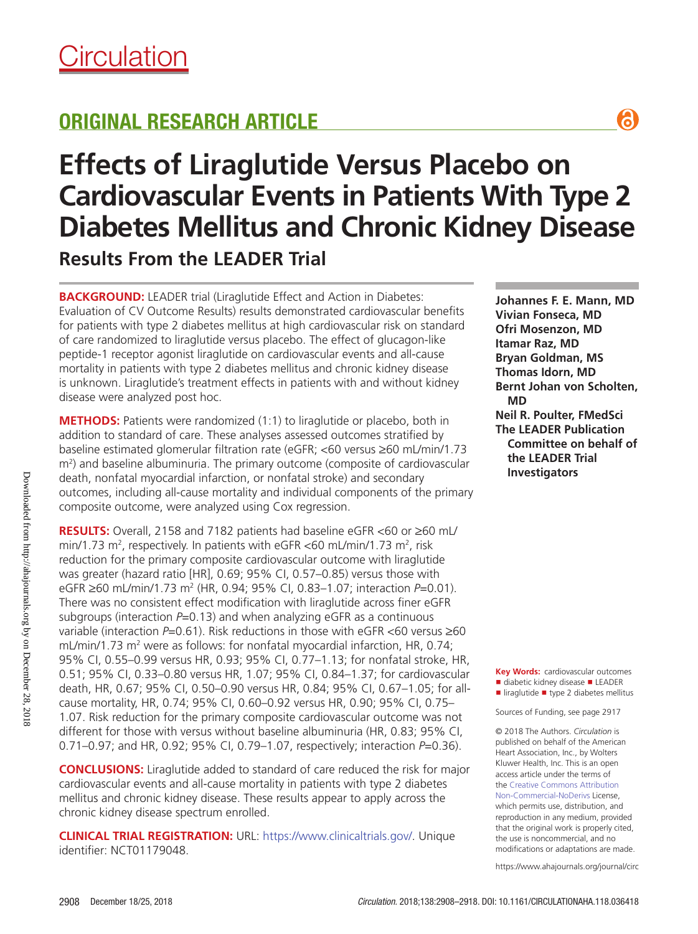# ORIGINAL RESEARCH ARTICLE

# **Effects of Liraglutide Versus Placebo on Cardiovascular Events in Patients With Type 2 Diabetes Mellitus and Chronic Kidney Disease Results From the LEADER Trial**

**BACKGROUND:** LEADER trial (Liraglutide Effect and Action in Diabetes: Evaluation of CV Outcome Results) results demonstrated cardiovascular benefits for patients with type 2 diabetes mellitus at high cardiovascular risk on standard of care randomized to liraglutide versus placebo. The effect of glucagon-like peptide-1 receptor agonist liraglutide on cardiovascular events and all-cause mortality in patients with type 2 diabetes mellitus and chronic kidney disease is unknown. Liraglutide's treatment effects in patients with and without kidney disease were analyzed post hoc.

**METHODS:** Patients were randomized (1:1) to liraglutide or placebo, both in addition to standard of care. These analyses assessed outcomes stratified by baseline estimated glomerular filtration rate (eGFR; <60 versus ≥60 mL/min/1.73 m<sup>2</sup>) and baseline albuminuria. The primary outcome (composite of cardiovascular death, nonfatal myocardial infarction, or nonfatal stroke) and secondary outcomes, including all-cause mortality and individual components of the primary composite outcome, were analyzed using Cox regression.

**RESULTS:** Overall, 2158 and 7182 patients had baseline eGFR <60 or ≥60 mL/ min/1.73 m<sup>2</sup>, respectively. In patients with eGFR <60 mL/min/1.73 m<sup>2</sup>, risk reduction for the primary composite cardiovascular outcome with liraglutide was greater (hazard ratio [HR], 0.69; 95% CI, 0.57–0.85) versus those with eGFR ≥60 mL/min/1.73 m2 (HR, 0.94; 95% CI, 0.83–1.07; interaction *P*=0.01). There was no consistent effect modification with liraglutide across finer eGFR subgroups (interaction *P*=0.13) and when analyzing eGFR as a continuous variable (interaction *P*=0.61). Risk reductions in those with eGFR <60 versus ≥60 mL/min/1.73 m<sup>2</sup> were as follows: for nonfatal myocardial infarction, HR, 0.74; 95% CI, 0.55–0.99 versus HR, 0.93; 95% CI, 0.77–1.13; for nonfatal stroke, HR, 0.51; 95% CI, 0.33–0.80 versus HR, 1.07; 95% CI, 0.84–1.37; for cardiovascular death, HR, 0.67; 95% CI, 0.50–0.90 versus HR, 0.84; 95% CI, 0.67–1.05; for allcause mortality, HR, 0.74; 95% CI, 0.60–0.92 versus HR, 0.90; 95% CI, 0.75– 1.07. Risk reduction for the primary composite cardiovascular outcome was not different for those with versus without baseline albuminuria (HR, 0.83; 95% CI, 0.71–0.97; and HR, 0.92; 95% CI, 0.79–1.07, respectively; interaction *P*=0.36).

**CONCLUSIONS:** Liraglutide added to standard of care reduced the risk for major cardiovascular events and all-cause mortality in patients with type 2 diabetes mellitus and chronic kidney disease. These results appear to apply across the chronic kidney disease spectrum enrolled.

**CLINICAL TRIAL REGISTRATION:** URL: https://www.clinicaltrials.gov/. Unique identifier: NCT01179048.

**Johannes F. E. Mann, MD Vivian Fonseca, MD Ofri Mosenzon, MD Itamar Raz, MD Bryan Goldman, MS Thomas Idorn, MD Bernt Johan von Scholten, MD Neil R. Poulter, FMedSci The LEADER Publication Committee on behalf of the LEADER Trial Investigators**

a

**Key Words:** cardiovascular outcomes ■ diabetic kidney disease ■ LEADER ■ liraglutide ■ type 2 diabetes mellitus

Sources of Funding, see page 2917

© 2018 The Authors. *Circulation* is published on behalf of the American Heart Association, Inc., by Wolters Kluwer Health, Inc. This is an open access article under the terms of the Creative Commons Attribution Non-Commercial-NoDerivs License, which permits use, distribution, and reproduction in any medium, provided that the original work is properly cited, the use is noncommercial, and no modifications or adaptations are made.

https://www.ahajournals.org/journal/circ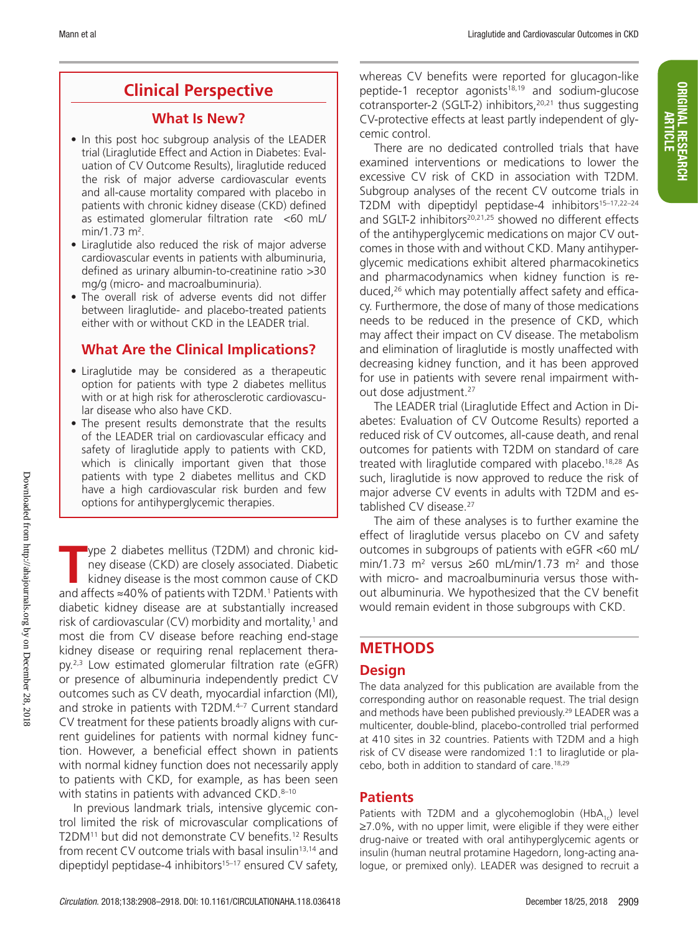# **Clinical Perspective**

# **What Is New?**

- In this post hoc subgroup analysis of the LEADER trial (Liraglutide Effect and Action in Diabetes: Evaluation of CV Outcome Results), liraglutide reduced the risk of major adverse cardiovascular events and all-cause mortality compared with placebo in patients with chronic kidney disease (CKD) defined as estimated glomerular filtration rate <60 mL/ min/1.73 m<sup>2</sup>.
- Liraglutide also reduced the risk of major adverse cardiovascular events in patients with albuminuria, defined as urinary albumin-to-creatinine ratio >30 mg/g (micro- and macroalbuminuria).
- The overall risk of adverse events did not differ between liraglutide- and placebo-treated patients either with or without CKD in the LEADER trial.

# **What Are the Clinical Implications?**

- Liraglutide may be considered as a therapeutic option for patients with type 2 diabetes mellitus with or at high risk for atherosclerotic cardiovascular disease who also have CKD.
- The present results demonstrate that the results of the LEADER trial on cardiovascular efficacy and safety of liraglutide apply to patients with CKD, which is clinically important given that those patients with type 2 diabetes mellitus and CKD have a high cardiovascular risk burden and few options for antihyperglycemic therapies.

**T**ype 2 diabetes mellitus (T2DM) and chronic kidney disease (CKD) are closely associated. Diabetic kidney disease is the most common cause of CKD and affects  $≈40%$  of patients with T2DM.<sup>1</sup> Patients with diabetic kidney disease are at substantially increased risk of cardiovascular (CV) morbidity and mortality,<sup>1</sup> and most die from CV disease before reaching end-stage kidney disease or requiring renal replacement therapy.2,3 Low estimated glomerular filtration rate (eGFR) or presence of albuminuria independently predict CV outcomes such as CV death, myocardial infarction (MI), and stroke in patients with T2DM.<sup>4-7</sup> Current standard CV treatment for these patients broadly aligns with current guidelines for patients with normal kidney function. However, a beneficial effect shown in patients with normal kidney function does not necessarily apply to patients with CKD, for example, as has been seen with statins in patients with advanced  $CKD$ .<sup>8–10</sup>

In previous landmark trials, intensive glycemic control limited the risk of microvascular complications of T2DM<sup>11</sup> but did not demonstrate CV benefits.<sup>12</sup> Results from recent CV outcome trials with basal insulin<sup>13,14</sup> and dipeptidyl peptidase-4 inhibitors<sup>15–17</sup> ensured CV safety,

whereas CV benefits were reported for glucagon-like peptide-1 receptor agonists $18,19$  and sodium-glucose cotransporter-2 (SGLT-2) inhibitors,<sup>20,21</sup> thus suggesting CV-protective effects at least partly independent of glycemic control.

There are no dedicated controlled trials that have examined interventions or medications to lower the excessive CV risk of CKD in association with T2DM. Subgroup analyses of the recent CV outcome trials in T2DM with dipeptidyl peptidase-4 inhibitors<sup>15-17,22-24</sup> and SGLT-2 inhibitors<sup>20,21,25</sup> showed no different effects of the antihyperglycemic medications on major CV outcomes in those with and without CKD. Many antihyperglycemic medications exhibit altered pharmacokinetics and pharmacodynamics when kidney function is reduced,26 which may potentially affect safety and efficacy. Furthermore, the dose of many of those medications needs to be reduced in the presence of CKD, which may affect their impact on CV disease. The metabolism and elimination of liraglutide is mostly unaffected with decreasing kidney function, and it has been approved for use in patients with severe renal impairment without dose adjustment.27

The LEADER trial (Liraglutide Effect and Action in Diabetes: Evaluation of CV Outcome Results) reported a reduced risk of CV outcomes, all-cause death, and renal outcomes for patients with T2DM on standard of care treated with liraglutide compared with placebo.18,28 As such, liraglutide is now approved to reduce the risk of major adverse CV events in adults with T2DM and established CV disease.<sup>27</sup>

The aim of these analyses is to further examine the effect of liraglutide versus placebo on CV and safety outcomes in subgroups of patients with eGFR <60 mL/ min/1.73 m<sup>2</sup> versus ≥60 mL/min/1.73 m<sup>2</sup> and those with micro- and macroalbuminuria versus those without albuminuria. We hypothesized that the CV benefit would remain evident in those subgroups with CKD.

# **METHODS**

# **Design**

The data analyzed for this publication are available from the corresponding author on reasonable request. The trial design and methods have been published previously.<sup>29</sup> LEADER was a multicenter, double-blind, placebo-controlled trial performed at 410 sites in 32 countries. Patients with T2DM and a high risk of CV disease were randomized 1:1 to liraglutide or placebo, both in addition to standard of care.18,29

# **Patients**

Patients with T2DM and a glycohemoglobin (HbA<sub>1c</sub>) level ≥7.0%, with no upper limit, were eligible if they were either drug-naive or treated with oral antihyperglycemic agents or insulin (human neutral protamine Hagedorn, long-acting analogue, or premixed only). LEADER was designed to recruit a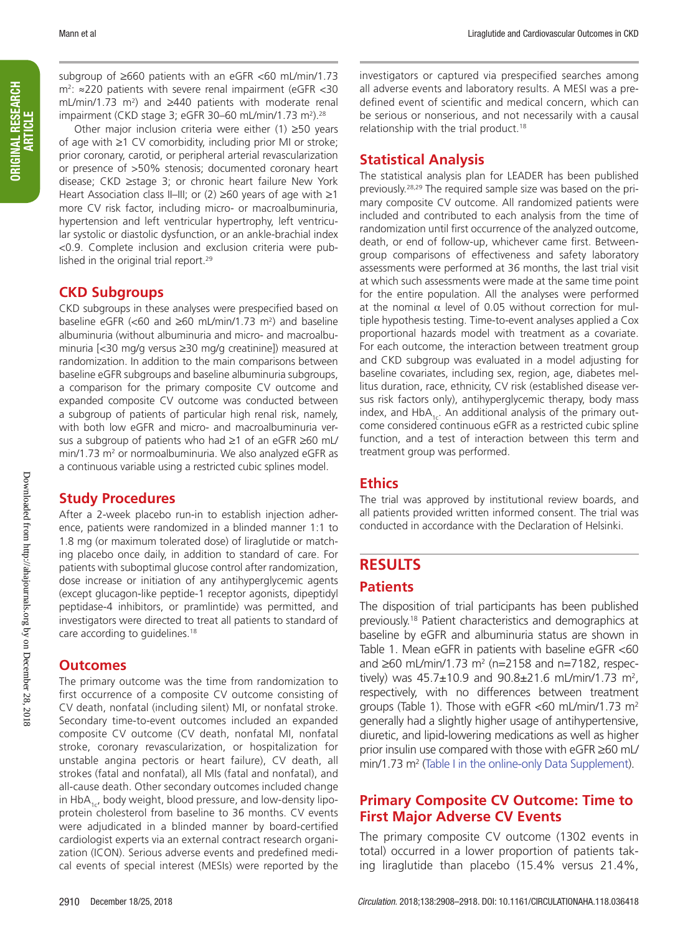ORIGINAL RESEARCH

ORIGINAL RESEARCH<br>Article subgroup of ≥660 patients with an eGFR <60 mL/min/1.73 m2 : ≈220 patients with severe renal impairment (eGFR <30 mL/min/1.73 m<sup>2</sup>) and ≥440 patients with moderate renal impairment (CKD stage 3; eGFR 30–60 mL/min/1.73 m<sup>2</sup>).<sup>28</sup>

Other major inclusion criteria were either (1) ≥50 years of age with ≥1 CV comorbidity, including prior MI or stroke; prior coronary, carotid, or peripheral arterial revascularization or presence of >50% stenosis; documented coronary heart disease; CKD ≥stage 3; or chronic heart failure New York Heart Association class II–III; or (2)  $\geq 60$  years of age with  $\geq 1$ more CV risk factor, including micro- or macroalbuminuria, hypertension and left ventricular hypertrophy, left ventricular systolic or diastolic dysfunction, or an ankle-brachial index <0.9. Complete inclusion and exclusion criteria were published in the original trial report.<sup>29</sup>

# **CKD Subgroups**

CKD subgroups in these analyses were prespecified based on baseline eGFR  $\left($  <60 and  $\geq$ 60 mL/min/1.73 m<sup>2</sup>) and baseline albuminuria (without albuminuria and micro- and macroalbuminuria [<30 mg/g versus ≥30 mg/g creatinine]) measured at randomization. In addition to the main comparisons between baseline eGFR subgroups and baseline albuminuria subgroups, a comparison for the primary composite CV outcome and expanded composite CV outcome was conducted between a subgroup of patients of particular high renal risk, namely, with both low eGFR and micro- and macroalbuminuria versus a subgroup of patients who had ≥1 of an eGFR ≥60 mL/ min/1.73 m<sup>2</sup> or normoalbuminuria. We also analyzed eGFR as a continuous variable using a restricted cubic splines model.

## **Study Procedures**

After a 2-week placebo run-in to establish injection adherence, patients were randomized in a blinded manner 1:1 to 1.8 mg (or maximum tolerated dose) of liraglutide or matching placebo once daily, in addition to standard of care. For patients with suboptimal glucose control after randomization, dose increase or initiation of any antihyperglycemic agents (except glucagon-like peptide-1 receptor agonists, dipeptidyl peptidase-4 inhibitors, or pramlintide) was permitted, and investigators were directed to treat all patients to standard of care according to guidelines.<sup>18</sup>

### **Outcomes**

The primary outcome was the time from randomization to first occurrence of a composite CV outcome consisting of CV death, nonfatal (including silent) MI, or nonfatal stroke. Secondary time-to-event outcomes included an expanded composite CV outcome (CV death, nonfatal MI, nonfatal stroke, coronary revascularization, or hospitalization for unstable angina pectoris or heart failure), CV death, all strokes (fatal and nonfatal), all MIs (fatal and nonfatal), and all-cause death. Other secondary outcomes included change in  $HbA<sub>1c</sub>$ , body weight, blood pressure, and low-density lipoprotein cholesterol from baseline to 36 months. CV events were adjudicated in a blinded manner by board-certified cardiologist experts via an external contract research organization (ICON). Serious adverse events and predefined medical events of special interest (MESIs) were reported by the

investigators or captured via prespecified searches among all adverse events and laboratory results. A MESI was a predefined event of scientific and medical concern, which can be serious or nonserious, and not necessarily with a causal relationship with the trial product.<sup>18</sup>

# **Statistical Analysis**

The statistical analysis plan for LEADER has been published previously.28,29 The required sample size was based on the primary composite CV outcome. All randomized patients were included and contributed to each analysis from the time of randomization until first occurrence of the analyzed outcome, death, or end of follow-up, whichever came first. Betweengroup comparisons of effectiveness and safety laboratory assessments were performed at 36 months, the last trial visit at which such assessments were made at the same time point for the entire population. All the analyses were performed at the nominal  $α$  level of 0.05 without correction for multiple hypothesis testing. Time-to-event analyses applied a Cox proportional hazards model with treatment as a covariate. For each outcome, the interaction between treatment group and CKD subgroup was evaluated in a model adjusting for baseline covariates, including sex, region, age, diabetes mellitus duration, race, ethnicity, CV risk (established disease versus risk factors only), antihyperglycemic therapy, body mass index, and  $HbA_{1c}$ . An additional analysis of the primary outcome considered continuous eGFR as a restricted cubic spline function, and a test of interaction between this term and treatment group was performed.

## **Ethics**

The trial was approved by institutional review boards, and all patients provided written informed consent. The trial was conducted in accordance with the Declaration of Helsinki.

# **RESULTS**

### **Patients**

The disposition of trial participants has been published previously.18 Patient characteristics and demographics at baseline by eGFR and albuminuria status are shown in Table 1. Mean eGFR in patients with baseline eGFR <60 and  $≥60$  mL/min/1.73 m<sup>2</sup> (n=2158 and n=7182, respectively) was  $45.7 \pm 10.9$  and  $90.8 \pm 21.6$  mL/min/1.73 m<sup>2</sup>, respectively, with no differences between treatment groups (Table 1). Those with eGFR  $<60$  mL/min/1.73 m<sup>2</sup> generally had a slightly higher usage of antihypertensive, diuretic, and lipid-lowering medications as well as higher prior insulin use compared with those with eGFR ≥60 mL/ min/1.73 m<sup>2</sup> (Table I in the online-only Data Supplement).

# **Primary Composite CV Outcome: Time to First Major Adverse CV Events**

The primary composite CV outcome (1302 events in total) occurred in a lower proportion of patients taking liraglutide than placebo (15.4% versus 21.4%,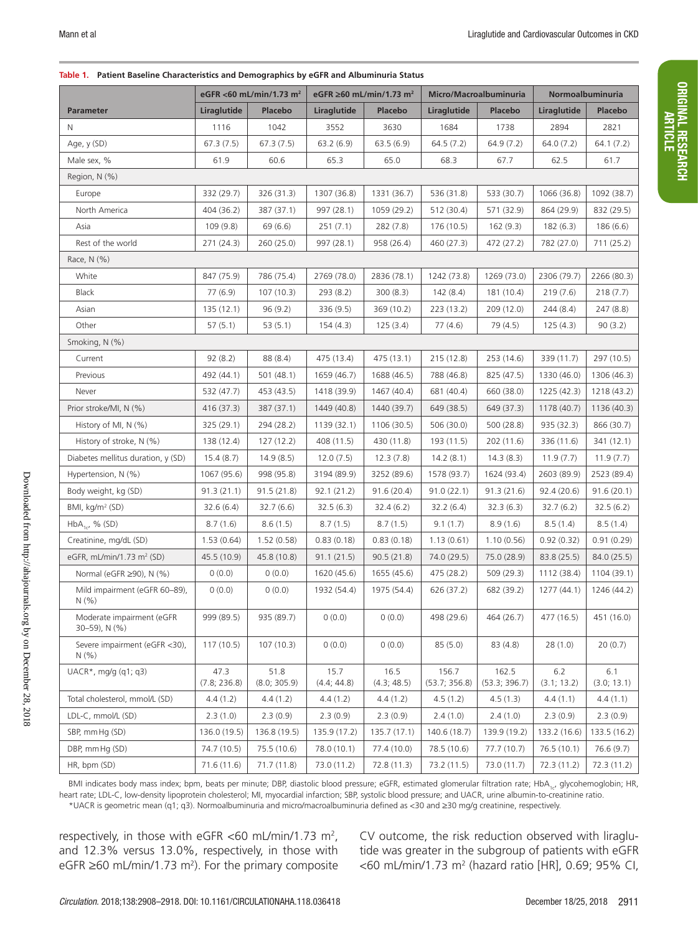#### **Table 1. Patient Baseline Characteristics and Demographics by eGFR and Albuminuria Status**

|                                            | eGFR <60 mL/min/1.73 m <sup>2</sup><br>eGFR ≥60 mL/min/1.73 m <sup>2</sup> |                      |                     | Micro/Macroalbuminuria |                        | Normoalbuminuria       |                    |                    |
|--------------------------------------------|----------------------------------------------------------------------------|----------------------|---------------------|------------------------|------------------------|------------------------|--------------------|--------------------|
| <b>Parameter</b>                           | Liraglutide                                                                | <b>Placebo</b>       | Liraglutide         | <b>Placebo</b>         | Liraglutide            | <b>Placebo</b>         | Liraglutide        | <b>Placebo</b>     |
| N                                          | 1116                                                                       | 1042                 | 3552                | 3630                   | 1684                   | 1738                   | 2894               | 2821               |
| Age, y (SD)                                | 67.3(7.5)                                                                  | 67.3(7.5)            | 63.2(6.9)           | 63.5(6.9)              | 64.5(7.2)              | 64.9(7.2)              | 64.0(7.2)          | 64.1(7.2)          |
| Male sex, %                                | 61.9                                                                       | 60.6                 | 65.3                | 65.0                   | 68.3                   | 67.7                   | 62.5               | 61.7               |
| Region, N (%)                              |                                                                            |                      |                     |                        |                        |                        |                    |                    |
| Europe                                     | 332 (29.7)                                                                 | 326 (31.3)           | 1307 (36.8)         | 1331 (36.7)            | 536 (31.8)             | 533 (30.7)             | 1066 (36.8)        | 1092 (38.7)        |
| North America                              | 404 (36.2)                                                                 | 387 (37.1)           | 997 (28.1)          | 1059 (29.2)            | 512 (30.4)             | 571 (32.9)             | 864 (29.9)         | 832 (29.5)         |
| Asia                                       | 109 (9.8)                                                                  | 69 (6.6)             | 251(7.1)            | 282 (7.8)              | 176 (10.5)             | 162(9.3)               | 182(6.3)           | 186(6.6)           |
| Rest of the world                          | 271 (24.3)                                                                 | 260 (25.0)           | 997 (28.1)          | 958 (26.4)             | 460 (27.3)             | 472 (27.2)             | 782 (27.0)         | 711 (25.2)         |
| Race, N (%)                                |                                                                            |                      |                     |                        |                        |                        |                    |                    |
| White                                      | 847 (75.9)                                                                 | 786 (75.4)           | 2769 (78.0)         | 2836 (78.1)            | 1242 (73.8)            | 1269 (73.0)            | 2306 (79.7)        | 2266 (80.3)        |
| <b>Black</b>                               | 77(6.9)                                                                    | 107(10.3)            | 293(8.2)            | 300(8.3)               | 142(8.4)               | 181 (10.4)             | 219(7.6)           | 218(7.7)           |
| Asian                                      | 135(12.1)                                                                  | 96(9.2)              | 336 (9.5)           | 369 (10.2)             | 223(13.2)              | 209 (12.0)             | 244(8.4)           | 247 (8.8)          |
| Other                                      | 57(5.1)                                                                    | 53(5.1)              | 154(4.3)            | 125(3.4)               | 77(4.6)                | 79 (4.5)               | 125(4.3)           | 90(3.2)            |
| Smoking, N (%)                             |                                                                            |                      |                     |                        |                        |                        |                    |                    |
| Current                                    | 92(8.2)                                                                    | 88 (8.4)             | 475 (13.4)          | 475(13.1)              | 215(12.8)              | 253 (14.6)             | 339 (11.7)         | 297 (10.5)         |
| Previous                                   | 492 (44.1)                                                                 | 501(48.1)            | 1659 (46.7)         | 1688 (46.5)            | 788 (46.8)             | 825 (47.5)             | 1330 (46.0)        | 1306 (46.3)        |
| Never                                      | 532 (47.7)                                                                 | 453 (43.5)           | 1418 (39.9)         | 1467 (40.4)            | 681 (40.4)             | 660 (38.0)             | 1225 (42.3)        | 1218 (43.2)        |
| Prior stroke/MI, N (%)                     | 416 (37.3)                                                                 | 387 (37.1)           | 1449 (40.8)         | 1440 (39.7)            | 649 (38.5)             | 649 (37.3)             | 1178 (40.7)        | 1136 (40.3)        |
| History of MI, N (%)                       | 325 (29.1)                                                                 | 294 (28.2)           | 1139 (32.1)         | 1106 (30.5)            | 506 (30.0)             | 500 (28.8)             | 935 (32.3)         | 866 (30.7)         |
| History of stroke, N (%)                   | 138 (12.4)                                                                 | 127(12.2)            | 408 (11.5)          | 430 (11.8)             | 193 (11.5)             | 202 (11.6)             | 336 (11.6)         | 341 (12.1)         |
| Diabetes mellitus duration, y (SD)         | 15.4(8.7)                                                                  | 14.9(8.5)            | 12.0(7.5)           | 12.3(7.8)              | 14.2(8.1)              | 14.3(8.3)              | 11.9(7.7)          | 11.9(7.7)          |
| Hypertension, N (%)                        | 1067 (95.6)                                                                | 998 (95.8)           | 3194 (89.9)         | 3252 (89.6)            | 1578 (93.7)            | 1624 (93.4)            | 2603 (89.9)        | 2523 (89.4)        |
| Body weight, kg (SD)                       | 91.3(21.1)                                                                 | 91.5(21.8)           | 92.1(21.2)          | 91.6(20.4)             | 91.0(22.1)             | 91.3(21.6)             | 92.4(20.6)         | 91.6(20.1)         |
| BMI, kg/m <sup>2</sup> (SD)                | 32.6(6.4)                                                                  | 32.7(6.6)            | 32.5 (6.3)          | 32.4(6.2)              | 32.2(6.4)              | 32.3(6.3)              | 32.7(6.2)          | 32.5(6.2)          |
| $HbA_{1c'}$ , % (SD)                       | 8.7(1.6)                                                                   | 8.6(1.5)             | 8.7(1.5)            | 8.7(1.5)               | 9.1(1.7)               | 8.9(1.6)               | 8.5(1.4)           | 8.5(1.4)           |
| Creatinine, mg/dL (SD)                     | 1.53(0.64)                                                                 | 1.52(0.58)           | 0.83(0.18)          | 0.83(0.18)             | 1.13(0.61)             | 1.10(0.56)             | 0.92(0.32)         | 0.91(0.29)         |
| eGFR, mL/min/1.73 m <sup>2</sup> (SD)      | 45.5 (10.9)                                                                | 45.8 (10.8)          | 91.1(21.5)          | 90.5(21.8)             | 74.0 (29.5)            | 75.0 (28.9)            | 83.8 (25.5)        | 84.0 (25.5)        |
| Normal (eGFR ≥90), N (%)                   | 0(0.0)                                                                     | 0(0.0)               | 1620 (45.6)         | 1655 (45.6)            | 475 (28.2)             | 509 (29.3)             | 1112 (38.4)        | 1104 (39.1)        |
| Mild impairment (eGFR 60-89),<br>N(% )     | 0(0.0)                                                                     | 0(0.0)               | 1932 (54.4)         | 1975 (54.4)            | 626 (37.2)             | 682 (39.2)             | 1277 (44.1)        | 1246 (44.2)        |
| Moderate impairment (eGFR<br>30–59), N (%) | 999 (89.5)                                                                 | 935 (89.7)           | 0(0.0)              | 0(0.0)                 | 498 (29.6)             | 464 (26.7)             | 477 (16.5)         | 451 (16.0)         |
| Severe impairment (eGFR <30),<br>N(% )     | 117(10.5)                                                                  | 107(10.3)            | 0(0.0)              | 0(0.0)                 | 85(5.0)                | 83(4.8)                | 28(1.0)            | 20(0.7)            |
| $UACR^*$ , mg/g (q1; q3)                   | 47.3<br>(7.8; 236.8)                                                       | 51.8<br>(8.0; 305.9) | 15.7<br>(4.4; 44.8) | 16.5<br>(4.3; 48.5)    | 156.7<br>(53.7; 356.8) | 162.5<br>(53.3; 396.7) | 6.2<br>(3.1; 13.2) | 6.1<br>(3.0; 13.1) |
| Total cholesterol, mmol/L (SD)             | 4.4(1.2)                                                                   | 4.4(1.2)             | 4.4(1.2)            | 4.4(1.2)               | 4.5(1.2)               | 4.5(1.3)               | 4.4 (1.1)          | 4.4(1.1)           |
| LDL-C, mmol/L (SD)                         | 2.3(1.0)                                                                   | 2.3(0.9)             | 2.3(0.9)            | 2.3(0.9)               | 2.4(1.0)               | 2.4(1.0)               | 2.3(0.9)           | 2.3(0.9)           |
| SBP, mm Hg (SD)                            | 136.0 (19.5)                                                               | 136.8 (19.5)         | 135.9 (17.2)        | 135.7 (17.1)           | 140.6 (18.7)           | 139.9 (19.2)           | 133.2 (16.6)       | 133.5 (16.2)       |
| DBP, mmHg (SD)                             | 74.7 (10.5)                                                                | 75.5 (10.6)          | 78.0 (10.1)         | 77.4 (10.0)            | 78.5 (10.6)            | 77.7 (10.7)            | 76.5(10.1)         | 76.6(9.7)          |
| HR, bpm (SD)                               | 71.6 (11.6)                                                                | 71.7 (11.8)          | 73.0 (11.2)         | 72.8 (11.3)            | 73.2 (11.5)            | 73.0 (11.7)            | 72.3 (11.2)        | 72.3(11.2)         |

BMI indicates body mass index; bpm, beats per minute; DBP, diastolic blood pressure; eGFR, estimated glomerular filtration rate; HbA<sub>1c</sub>, glycohemoglobin; HR, heart rate; LDL-C, low-density lipoprotein cholesterol; MI, myocardial infarction; SBP, systolic blood pressure; and UACR, urine albumin-to-creatinine ratio. \*UACR is geometric mean (q1; q3). Normoalbuminuria and micro/macroalbuminuria defined as <30 and ≥30 mg/g creatinine, respectively.

respectively, in those with eGFR <60 mL/min/1.73 m<sup>2</sup>, and 12.3% versus 13.0%, respectively, in those with eGFR  $≥60$  mL/min/1.73 m<sup>2</sup>). For the primary composite CV outcome, the risk reduction observed with liraglutide was greater in the subgroup of patients with eGFR <60 mL/min/1.73 m2 (hazard ratio [HR], 0.69; 95% CI,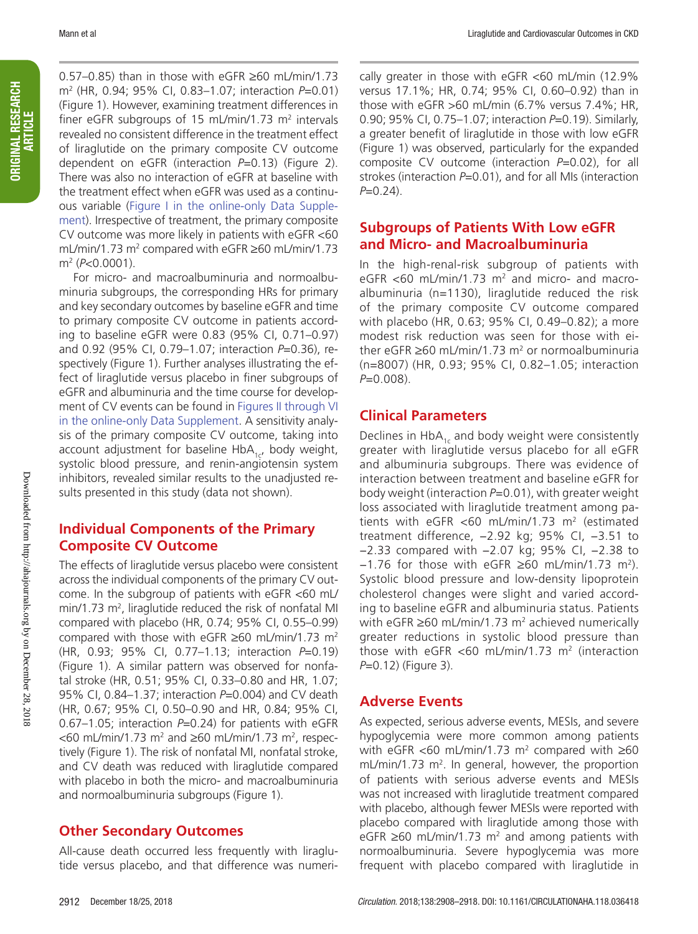ORIGINAL RESEARCH ORIGINAL RESEARCH<br>| ARTICLE 0.57–0.85) than in those with eGFR ≥60 mL/min/1.73 m2 (HR, 0.94; 95% CI, 0.83–1.07; interaction *P*=0.01) (Figure 1). However, examining treatment differences in finer eGFR subgroups of 15 mL/min/1.73  $m<sup>2</sup>$  intervals revealed no consistent difference in the treatment effect of liraglutide on the primary composite CV outcome dependent on eGFR (interaction *P*=0.13) (Figure 2). There was also no interaction of eGFR at baseline with the treatment effect when eGFR was used as a continuous variable (Figure I in the online-only Data Supplement). Irrespective of treatment, the primary composite CV outcome was more likely in patients with eGFR <60 mL/min/1.73  $m^2$  compared with eGFR ≥60 mL/min/1.73 m2 (*P*<0.0001).

For micro- and macroalbuminuria and normoalbuminuria subgroups, the corresponding HRs for primary and key secondary outcomes by baseline eGFR and time to primary composite CV outcome in patients according to baseline eGFR were 0.83 (95% CI, 0.71–0.97) and 0.92 (95% CI, 0.79–1.07; interaction *P*=0.36), respectively (Figure 1). Further analyses illustrating the effect of liraglutide versus placebo in finer subgroups of eGFR and albuminuria and the time course for development of CV events can be found in Figures II through VI in the online-only Data Supplement. A sensitivity analysis of the primary composite CV outcome, taking into account adjustment for baseline HbA $_{1c}$ , body weight, systolic blood pressure, and renin-angiotensin system inhibitors, revealed similar results to the unadjusted results presented in this study (data not shown).

# **Individual Components of the Primary Composite CV Outcome**

The effects of liraglutide versus placebo were consistent across the individual components of the primary CV outcome. In the subgroup of patients with eGFR <60 mL/  $min/1.73$   $m^2$ , liraglutide reduced the risk of nonfatal MI compared with placebo (HR, 0.74; 95% CI, 0.55–0.99) compared with those with eGFR  $\geq 60$  mL/min/1.73 m<sup>2</sup> (HR, 0.93; 95% CI, 0.77–1.13; interaction *P*=0.19) (Figure 1). A similar pattern was observed for nonfatal stroke (HR, 0.51; 95% CI, 0.33–0.80 and HR, 1.07; 95% CI, 0.84–1.37; interaction *P*=0.004) and CV death (HR, 0.67; 95% CI, 0.50–0.90 and HR, 0.84; 95% CI, 0.67–1.05; interaction *P*=0.24) for patients with eGFR  $<$ 60 mL/min/1.73 m<sup>2</sup> and  $\geq$ 60 mL/min/1.73 m<sup>2</sup>, respectively (Figure 1). The risk of nonfatal MI, nonfatal stroke, and CV death was reduced with liraglutide compared with placebo in both the micro- and macroalbuminuria and normoalbuminuria subgroups (Figure 1).

# **Other Secondary Outcomes**

All-cause death occurred less frequently with liraglutide versus placebo, and that difference was numeri-

cally greater in those with eGFR <60 mL/min (12.9% versus 17.1%; HR, 0.74; 95% CI, 0.60–0.92) than in those with eGFR >60 mL/min (6.7% versus 7.4%; HR, 0.90; 95% CI, 0.75–1.07; interaction *P*=0.19). Similarly, a greater benefit of liraglutide in those with low eGFR (Figure 1) was observed, particularly for the expanded composite CV outcome (interaction *P*=0.02), for all strokes (interaction P=0.01), and for all MIs (interaction *P*=0.24).

# **Subgroups of Patients With Low eGFR and Micro- and Macroalbuminuria**

In the high-renal-risk subgroup of patients with eGFR  $<$  60 mL/min/1.73 m<sup>2</sup> and micro- and macroalbuminuria (n=1130), liraglutide reduced the risk of the primary composite CV outcome compared with placebo (HR, 0.63; 95% CI, 0.49–0.82); a more modest risk reduction was seen for those with either eGFR  $≥60$  mL/min/1.73 m<sup>2</sup> or normoalbuminuria (n=8007) (HR, 0.93; 95% CI, 0.82–1.05; interaction *P*=0.008).

# **Clinical Parameters**

Declines in HbA $_{1c}$  and body weight were consistently greater with liraglutide versus placebo for all eGFR and albuminuria subgroups. There was evidence of interaction between treatment and baseline eGFR for body weight (interaction *P*=0.01), with greater weight loss associated with liraglutide treatment among patients with eGFR <60 mL/min/1.73 m<sup>2</sup> (estimated treatment difference, −2.92 kg; 95% CI, −3.51 to −2.33 compared with −2.07 kg; 95% CI, −2.38 to −1.76 for those with eGFR ≥60 mL/min/1.73 m2). Systolic blood pressure and low-density lipoprotein cholesterol changes were slight and varied according to baseline eGFR and albuminuria status. Patients with eGFR  $\geq 60$  mL/min/1.73 m<sup>2</sup> achieved numerically greater reductions in systolic blood pressure than those with eGFR <60 mL/min/1.73  $m<sup>2</sup>$  (interaction *P*=0.12) (Figure 3).

# **Adverse Events**

As expected, serious adverse events, MESIs, and severe hypoglycemia were more common among patients with eGFR <60 mL/min/1.73  $m^2$  compared with  $\geq 60$  $mL/min/1.73$   $m<sup>2</sup>$ . In general, however, the proportion of patients with serious adverse events and MESIs was not increased with liraglutide treatment compared with placebo, although fewer MESIs were reported with placebo compared with liraglutide among those with eGFR ≥60 mL/min/1.73 m<sup>2</sup> and among patients with normoalbuminuria. Severe hypoglycemia was more frequent with placebo compared with liraglutide in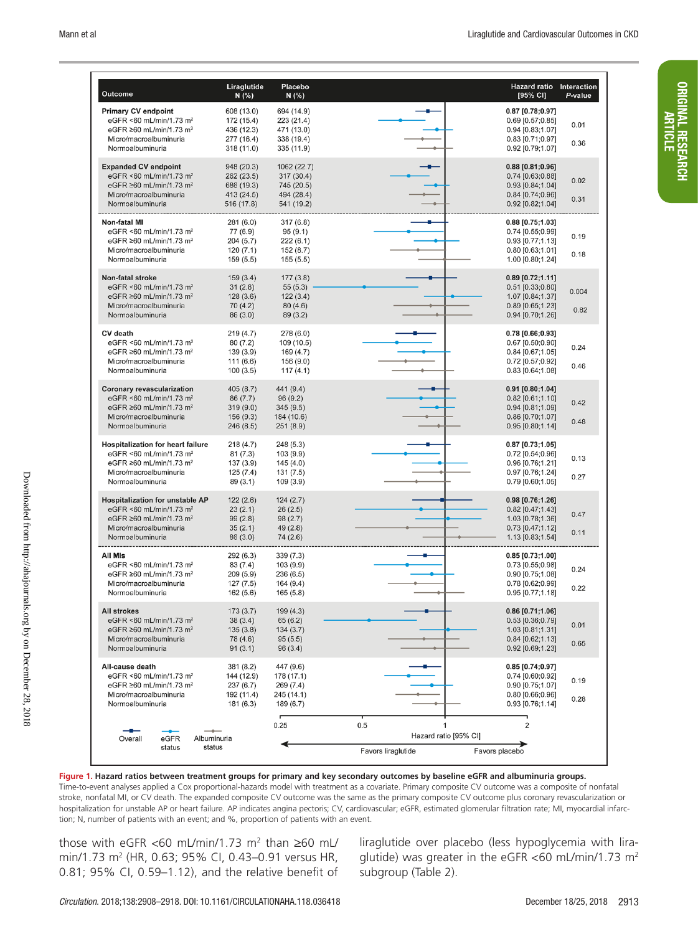| <b>Outcome</b>                                                                                                                                                             | Liraglutide<br>N(% )                                               | Placebo<br>N(% )                                                    |                                                         | <b>Hazard ratio</b><br>Interaction<br>[95% CI]<br>P-value                                                               |  |
|----------------------------------------------------------------------------------------------------------------------------------------------------------------------------|--------------------------------------------------------------------|---------------------------------------------------------------------|---------------------------------------------------------|-------------------------------------------------------------------------------------------------------------------------|--|
| <b>Primary CV endpoint</b><br>eGFR <60 mL/min/1.73 m <sup>2</sup><br>eGFR ≥60 mL/min/1.73 m <sup>2</sup><br>Micro/macroalbuminuria<br>Normoalbuminuria                     | 608 (13.0)<br>172 (15.4)<br>436 (12.3)<br>277 (16.4)<br>318 (11.0) | 694 (14.9)<br>223 (21.4)<br>471 (13.0)<br>338 (19.4)<br>335 (11.9)  |                                                         | $0.87$ [0.78;0.97]<br>0.69 [0.57;0.85]<br>0.01<br>0.94 [0.83;1.07]<br>0.83 [0.71;0.97]<br>0.36<br>0.92 [0.79;1.07]      |  |
| <b>Expanded CV endpoint</b><br>eGFR <60 mL/min/1.73 m <sup>2</sup><br>eGFR $\geq 60$ mL/min/1.73 m <sup>2</sup><br>Micro/macroalbuminuria<br>Normoalbuminuria              | 948 (20.3)<br>262 (23.5)<br>686 (19.3)<br>413 (24.5)<br>516 (17.8) | 1062 (22.7)<br>317 (30.4)<br>745 (20.5)<br>494 (28.4)<br>541 (19.2) |                                                         | $0.88$ [0.81;0.96]<br>0.74 [0.63;0.88]<br>0.02<br>0.93 [0.84:1.04]<br>$0.84$ [0.74;0.96]<br>0.31<br>0.92 [0.82;1.04]    |  |
| <b>Non-fatal MI</b><br>eGFR <60 mL/min/1.73 m <sup>2</sup><br>eGFR $\geq 60$ mL/min/1.73 m <sup>2</sup><br>Micro/macroalbuminuria<br>Normoalbuminuria                      | 281 (6.0)<br>77 (6.9)<br>204 (5.7)<br>120(7.1)<br>159 (5.5)        | 317(6.8)<br>95(9.1)<br>222(6.1)<br>152 (8.7)<br>155(5.5)            |                                                         | $0.88$ [0.75;1.03]<br>0.74 [0.55;0.99]<br>0.19<br>0.93 [0.77;1.13]<br>0.80 [0.63;1.01]<br>0.18<br>1.00 [0.80;1.24]      |  |
| Non-fatal stroke<br>eGFR <60 mL/min/1.73 m <sup>2</sup><br>eGFR $\geq 60$ mL/min/1.73 m <sup>2</sup><br>Micro/macroalbuminuria<br>Normoalbuminuria                         | 159(3.4)<br>31(2.8)<br>128(3.6)<br>70(4.2)<br>86 (3.0)             | 177(3.8)<br>55(5.3)<br>122(3.4)<br>80(4.6)<br>89 (3.2)              |                                                         | $0.89$ [0.72;1.11]<br>$0.51$ [0.33;0.80]<br>0.004<br>1.07 [0.84;1.37]<br>$0.89$ [0.65;1.23]<br>0.82<br>0.94 [0.70;1.26] |  |
| <b>CV</b> death<br>eGFR <60 mL/min/1.73 m <sup>2</sup><br>eGFR ≥60 mL/min/1.73 m <sup>2</sup><br>Micro/macroalbuminuria<br>Normoalbuminuria                                | 219(4.7)<br>80(7.2)<br>139 (3.9)<br>111(6.6)<br>100(3.5)           | 278(6.0)<br>109 (10.5)<br>169 (4.7)<br>156 (9.0)<br>117(4.1)        |                                                         | 0.78 [0.66;0.93]<br>$0.67$ [0.50;0.90]<br>0.24<br>0.84 [0.67;1.05]<br>0.72 [0.57;0.92]<br>0.46<br>$0.83$ [0.64;1.08]    |  |
| <b>Coronary revascularization</b><br>eGFR <60 mL/min/1.73 m <sup>2</sup><br>eGFR $\geq 60$ mL/min/1.73 m <sup>2</sup><br>Micro/macroalbuminuria<br>Normoalbuminuria        | 405(8.7)<br>86 (7.7)<br>319(9.0)<br>156 (9.3)<br>246(8.5)          | 441 (9.4)<br>96(9.2)<br>345(9.5)<br>184 (10.6)<br>251(8.9)          |                                                         | 0.91 [0.80:1.04]<br>0.82 [0.61;1.10]<br>0.42<br>$0.94$ [0.81;1.09]<br>0.86 [0.70;1.07]<br>0.48<br>$0.95$ [0.80;1.14]    |  |
| <b>Hospitalization for heart failure</b><br>eGFR <60 mL/min/1.73 m <sup>2</sup><br>eGFR $\geq 60$ mL/min/1.73 m <sup>2</sup><br>Micro/macroalbuminuria<br>Normoalbuminuria | 218(4.7)<br>81(7.3)<br>137 (3.9)<br>125 (7.4)<br>89 (3.1)          | 248 (5.3)<br>103 (9.9)<br>145 (4.0)<br>131 (7.5)<br>109 (3.9)       |                                                         | 0.87 [0.73;1.05]<br>0.72 [0.54;0.96]<br>0.13<br>0.96 [0.76;1.21]<br>0.97 [0.76;1.24]<br>0.27<br>0.79 [0.60;1.05]        |  |
| <b>Hospitalization for unstable AP</b><br>eGFR <60 mL/min/1.73 m <sup>2</sup><br>eGFR $\geq 60$ mL/min/1.73 m <sup>2</sup><br>Micro/macroalbuminuria<br>Normoalbuminuria   | 122(2.6)<br>23(2.1)<br>99(2.8)<br>35(2.1)<br>86 (3.0)              | 124(2.7)<br>26(2.5)<br>98(2.7)<br>49 (2.8)<br>74 (2.6)              |                                                         | $0.98$ [0.76;1.26]<br>0.82 [0.47;1.43]<br>0.47<br>1.03 [0.78;1.36]<br>$0.73$ [0.47;1.12]<br>0.11<br>1.13 [0.83;1.54]    |  |
| All Mis<br>eGFR <60 mL/min/1.73 m <sup>2</sup><br>eGFR $\geq 60$ mL/min/1.73 m <sup>2</sup><br>Micro/macroalbuminuria<br>Normoalbuminuria                                  | 292 (6.3)<br>83 (7.4)<br>209 (5.9)<br>127 (7.5)<br>162(5.6)        | 339(7.3)<br>103 (9.9)<br>236 (6.5)<br>164 (9.4)<br>165(5.8)         |                                                         | $0.85$ [0.73;1.00]<br>$0.73$ [0.55;0.98]<br>0.24<br>0.90 [0.75;1.08]<br>0.78 [0.62;0.99]<br>0.22<br>0.95 [0.77;1.18]    |  |
| <b>All strokes</b><br>eGFR <60 mL/min/1.73 m <sup>2</sup><br>eGFR ≥60 mL/min/1.73 m <sup>2</sup><br>Micro/macroalbuminuria<br>Normoalbuminuria                             | 173(3.7)<br>38(3.4)<br>135(3.8)<br>78 (4.6)<br>91(3.1)             | 199 (4.3)<br>65(6.2)<br>134(3.7)<br>95(5.5)<br>96 (3.4)             |                                                         | $0.86$ [0.71;1.06]<br>$0.53$ [0.36;0.79]<br>0.01<br>1.03 [0.81;1.31]<br>$0.84$ [0.62;1.13]<br>0.65<br>0.92 [0.69;1.23]  |  |
| All-cause death<br>eGFR <60 mL/min/1.73 m <sup>2</sup><br>eGFR ≥60 mL/min/1.73 m <sup>2</sup><br>Micro/macroalbuminuria<br>Normoalbuminuria                                | 381 (8.2)<br>144 (12.9)<br>237(6.7)<br>192 (11.4)<br>181 (6.3)     | 447 (9.6)<br>178 (17.1)<br>269 (7.4)<br>245 (14.1)<br>189 (6.7)     |                                                         | $0.85$ [0.74;0.97]<br>0.74 [0.60;0.92]<br>0.19<br>0.90 [0.75;1.07]<br>$0.80$ [0.66;0.96]<br>0.28<br>0.93 [0.76;1.14]    |  |
| eGFR<br>Albuminuria<br>Overall<br>status<br>status                                                                                                                         |                                                                    | 0.25                                                                | 0.5<br>1<br>Hazard ratio [95% CI]<br>Favors liraglutide | 2<br>Favors placebo                                                                                                     |  |

**Figure 1. Hazard ratios between treatment groups for primary and key secondary outcomes by baseline eGFR and albuminuria groups.**

Time-to-event analyses applied a Cox proportional-hazards model with treatment as a covariate. Primary composite CV outcome was a composite of nonfatal stroke, nonfatal MI, or CV death. The expanded composite CV outcome was the same as the primary composite CV outcome plus coronary revascularization or hospitalization for unstable AP or heart failure. AP indicates angina pectoris; CV, cardiovascular; eGFR, estimated glomerular filtration rate; MI, myocardial infarction; N, number of patients with an event; and %, proportion of patients with an event.

those with eGFR <60 mL/min/1.73 m² than ≥60 mL/ min/1.73 m<sup>2</sup> (HR, 0.63; 95% CI, 0.43-0.91 versus HR, 0.81; 95% CI, 0.59–1.12), and the relative benefit of

liraglutide over placebo (less hypoglycemia with liraglutide) was greater in the eGFR <60 mL/min/1.73 m<sup>2</sup> subgroup (Table 2).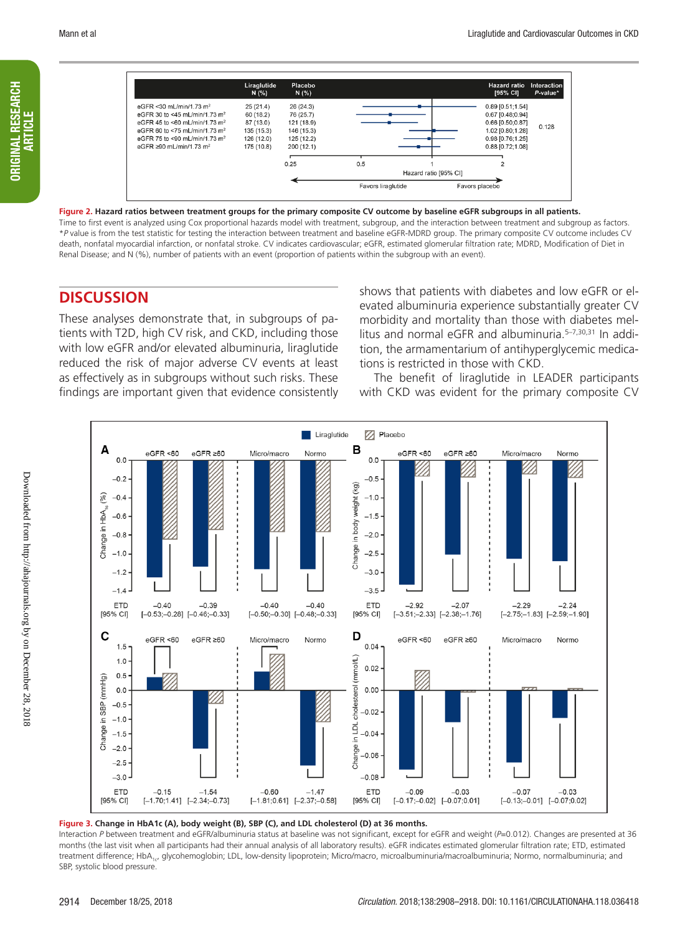ORIGINAL RESEARCH ARTICLE

**ORIGINAL RESEARCH** 



**Figure 2. Hazard ratios between treatment groups for the primary composite CV outcome by baseline eGFR subgroups in all patients.** Time to first event is analyzed using Cox proportional hazards model with treatment, subgroup, and the interaction between treatment and subgroup as factors. \**P* value is from the test statistic for testing the interaction between treatment and baseline eGFR-MDRD group. The primary composite CV outcome includes CV death, nonfatal myocardial infarction, or nonfatal stroke. CV indicates cardiovascular; eGFR, estimated glomerular filtration rate; MDRD, Modification of Diet in Renal Disease; and N (%), number of patients with an event (proportion of patients within the subgroup with an event).

# **DISCUSSION**

These analyses demonstrate that, in subgroups of patients with T2D, high CV risk, and CKD, including those with low eGFR and/or elevated albuminuria, liraglutide reduced the risk of major adverse CV events at least as effectively as in subgroups without such risks. These findings are important given that evidence consistently shows that patients with diabetes and low eGFR or elevated albuminuria experience substantially greater CV morbidity and mortality than those with diabetes mellitus and normal eGFR and albuminuria.<sup>5-7,30,31</sup> In addition, the armamentarium of antihyperglycemic medications is restricted in those with CKD.

The benefit of liraglutide in LEADER participants with CKD was evident for the primary composite CV



**Figure 3. Change in HbA1c (A), body weight (B), SBP (C), and LDL cholesterol (D) at 36 months.**

Interaction *P* between treatment and eGFR/albuminuria status at baseline was not significant, except for eGFR and weight (*P*=0.012). Changes are presented at 36 months (the last visit when all participants had their annual analysis of all laboratory results). eGFR indicates estimated glomerular filtration rate; ETD, estimated treatment difference; HbA<sub>1c</sub>, glycohemoglobin; LDL, low-density lipoprotein; Micro/macro, microalbuminuria/macroalbuminuria; Normo, normalbuminuria; and SBP, systolic blood pressure.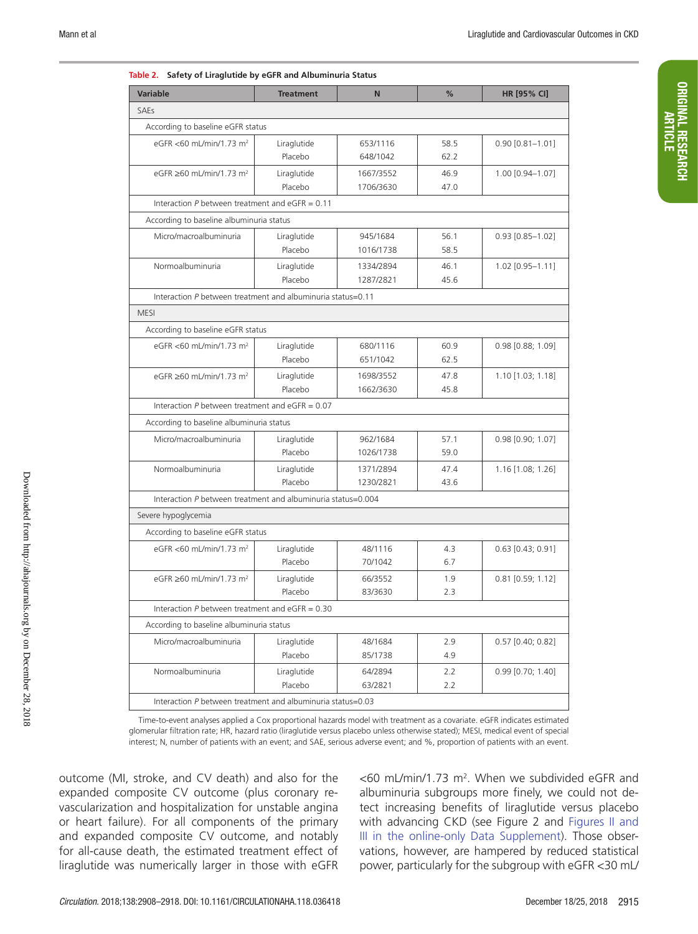ORIGINAL RESEARCH ORIGINAL RESEARCH<br>Article

| <b>Variable</b>                                              | <b>Treatment</b> | N         | %    | HR [95% CI]            |
|--------------------------------------------------------------|------------------|-----------|------|------------------------|
| SAEs                                                         |                  |           |      |                        |
| According to baseline eGFR status                            |                  |           |      |                        |
| eGFR <60 mL/min/1.73 m <sup>2</sup>                          | Liraglutide      | 653/1116  | 58.5 | $0.90$ [0.81-1.01]     |
|                                                              | Placebo          | 648/1042  | 62.2 |                        |
| eGFR ≥60 mL/min/1.73 m <sup>2</sup>                          | Liraglutide      | 1667/3552 | 46.9 | 1.00 [0.94-1.07]       |
|                                                              | Placebo          | 1706/3630 | 47.0 |                        |
| Interaction $P$ between treatment and eGFR = 0.11            |                  |           |      |                        |
| According to baseline albuminuria status                     |                  |           |      |                        |
| Micro/macroalbuminuria                                       | Liraglutide      | 945/1684  | 56.1 | $0.93$ $[0.85 - 1.02]$ |
|                                                              | Placebo          | 1016/1738 | 58.5 |                        |
| Normoalbuminuria                                             | Liraglutide      | 1334/2894 | 46.1 | 1.02 [0.95-1.11]       |
|                                                              | Placebo          | 1287/2821 | 45.6 |                        |
| Interaction P between treatment and albuminuria status=0.11  |                  |           |      |                        |
| <b>MESI</b>                                                  |                  |           |      |                        |
| According to baseline eGFR status                            |                  |           |      |                        |
| eGFR <60 mL/min/1.73 m <sup>2</sup>                          | Liraglutide      | 680/1116  | 60.9 | $0.98$ [0.88; 1.09]    |
|                                                              | Placebo          | 651/1042  | 62.5 |                        |
| eGFR ≥60 mL/min/1.73 m <sup>2</sup>                          | Liraglutide      | 1698/3552 | 47.8 | $1.10$ [1.03; 1.18]    |
|                                                              | Placebo          | 1662/3630 | 45.8 |                        |
| Interaction $P$ between treatment and eGFR = 0.07            |                  |           |      |                        |
| According to baseline albuminuria status                     |                  |           |      |                        |
| Micro/macroalbuminuria                                       | Liraglutide      | 962/1684  | 57.1 | $0.98$ [0.90; 1.07]    |
|                                                              | Placebo          | 1026/1738 | 59.0 |                        |
| Normoalbuminuria                                             | Liraglutide      | 1371/2894 | 47.4 | 1.16 [1.08; 1.26]      |
|                                                              | Placebo          | 1230/2821 | 43.6 |                        |
| Interaction P between treatment and albuminuria status=0.004 |                  |           |      |                        |
| Severe hypoglycemia                                          |                  |           |      |                        |
| According to baseline eGFR status                            |                  |           |      |                        |
| eGFR <60 mL/min/1.73 m <sup>2</sup>                          | Liraglutide      | 48/1116   | 4.3  | $0.63$ [0.43; 0.91]    |
|                                                              | Placebo          | 70/1042   | 6.7  |                        |
| eGFR ≥60 mL/min/1.73 m <sup>2</sup>                          | Liraglutide      | 66/3552   | 1.9  | $0.81$ [0.59; 1.12]    |
|                                                              | Placebo          | 83/3630   | 2.3  |                        |
| Interaction $P$ between treatment and eGFR = $0.30$          |                  |           |      |                        |
| According to baseline albuminuria status                     |                  |           |      |                        |
| Micro/macroalbuminuria                                       | Liraglutide      | 48/1684   | 2.9  | $0.57$ [0.40; 0.82]    |
|                                                              | Placebo          | 85/1738   | 4.9  |                        |
| Normoalbuminuria                                             | Liraglutide      | 64/2894   | 2.2  | $0.99$ $[0.70; 1.40]$  |
|                                                              | Placebo          | 63/2821   | 2.2  |                        |
| Interaction P between treatment and albuminuria status=0.03  |                  |           |      |                        |

|  | Table 2. Safety of Liraglutide by eGFR and Albuminuria Status |
|--|---------------------------------------------------------------|
|--|---------------------------------------------------------------|

Time-to-event analyses applied a Cox proportional hazards model with treatment as a covariate. eGFR indicates estimated glomerular filtration rate; HR, hazard ratio (liraglutide versus placebo unless otherwise stated); MESI, medical event of special interest; N, number of patients with an event; and SAE, serious adverse event; and %, proportion of patients with an event.

outcome (MI, stroke, and CV death) and also for the expanded composite CV outcome (plus coronary revascularization and hospitalization for unstable angina or heart failure). For all components of the primary and expanded composite CV outcome, and notably for all-cause death, the estimated treatment effect of liraglutide was numerically larger in those with eGFR

<60 mL/min/1.73 m2 . When we subdivided eGFR and albuminuria subgroups more finely, we could not detect increasing benefits of liraglutide versus placebo with advancing CKD (see Figure 2 and Figures II and III in the online-only Data Supplement). Those observations, however, are hampered by reduced statistical power, particularly for the subgroup with eGFR <30 mL/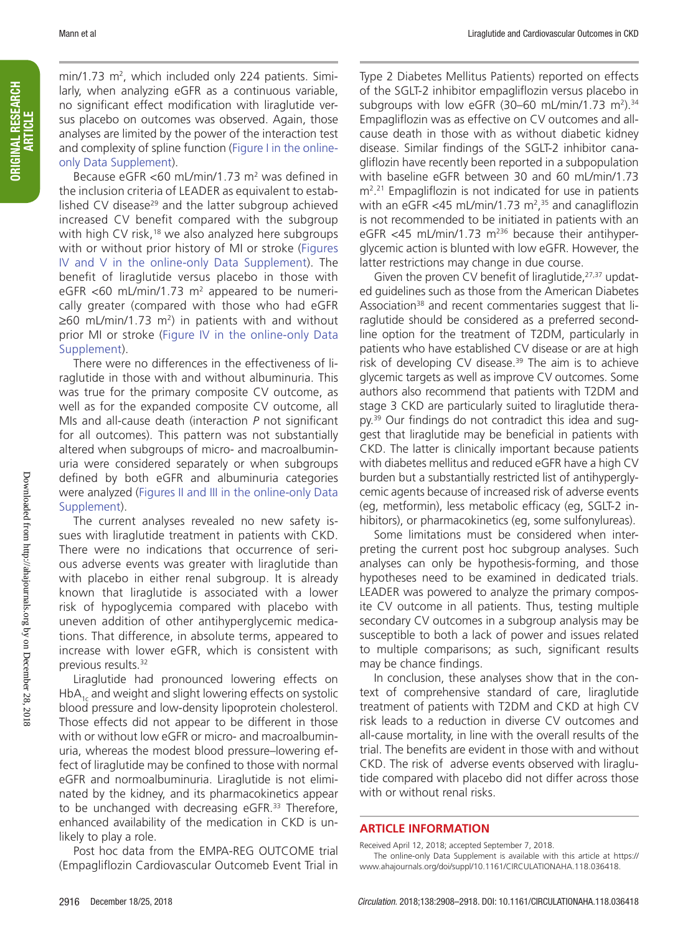min/1.73 m<sup>2</sup>, which included only 224 patients. Similarly, when analyzing eGFR as a continuous variable, no significant effect modification with liraglutide versus placebo on outcomes was observed. Again, those analyses are limited by the power of the interaction test and complexity of spline function (Figure I in the onlineonly Data Supplement).

Because eGFR <60 mL/min/1.73 m<sup>2</sup> was defined in the inclusion criteria of LEADER as equivalent to established CV disease<sup>29</sup> and the latter subgroup achieved increased CV benefit compared with the subgroup with high CV risk,<sup>18</sup> we also analyzed here subgroups with or without prior history of MI or stroke (Figures IV and V in the online-only Data Supplement). The benefit of liraglutide versus placebo in those with eGFR  $<$ 60 mL/min/1.73 m<sup>2</sup> appeared to be numerically greater (compared with those who had eGFR  $\geq$ 60 mL/min/1.73 m<sup>2</sup>) in patients with and without prior MI or stroke (Figure IV in the online-only Data Supplement).

There were no differences in the effectiveness of liraglutide in those with and without albuminuria. This was true for the primary composite CV outcome, as well as for the expanded composite CV outcome, all MIs and all-cause death (interaction *P* not significant for all outcomes). This pattern was not substantially altered when subgroups of micro- and macroalbuminuria were considered separately or when subgroups defined by both eGFR and albuminuria categories were analyzed (Figures II and III in the online-only Data Supplement).

The current analyses revealed no new safety issues with liraglutide treatment in patients with CKD. There were no indications that occurrence of serious adverse events was greater with liraglutide than with placebo in either renal subgroup. It is already known that liraglutide is associated with a lower risk of hypoglycemia compared with placebo with uneven addition of other antihyperglycemic medications. That difference, in absolute terms, appeared to increase with lower eGFR, which is consistent with previous results.<sup>32</sup>

Liraglutide had pronounced lowering effects on  $HbA_{1c}$  and weight and slight lowering effects on systolic blood pressure and low-density lipoprotein cholesterol. Those effects did not appear to be different in those with or without low eGFR or micro- and macroalbuminuria, whereas the modest blood pressure–lowering effect of liraglutide may be confined to those with normal eGFR and normoalbuminuria. Liraglutide is not eliminated by the kidney, and its pharmacokinetics appear to be unchanged with decreasing eGFR.<sup>33</sup> Therefore, enhanced availability of the medication in CKD is unlikely to play a role.

Post hoc data from the EMPA-REG OUTCOME trial (Empagliflozin Cardiovascular Outcomeb Event Trial in

Type 2 Diabetes Mellitus Patients) reported on effects of the SGLT-2 inhibitor empagliflozin versus placebo in subgroups with low eGFR (30–60 mL/min/1.73 m<sup>2</sup>).<sup>34</sup> Empagliflozin was as effective on CV outcomes and allcause death in those with as without diabetic kidney disease. Similar findings of the SGLT-2 inhibitor canagliflozin have recently been reported in a subpopulation with baseline eGFR between 30 and 60 mL/min/1.73 m2 . 21 Empagliflozin is not indicated for use in patients with an eGFR <45 mL/min/1.73 m<sup>2</sup>,<sup>35</sup> and canagliflozin is not recommended to be initiated in patients with an eGFR  $<$ 45 mL/min/1.73 m<sup>236</sup> because their antihyperglycemic action is blunted with low eGFR. However, the latter restrictions may change in due course.

Given the proven CV benefit of liraglutide, $27,37$  updated guidelines such as those from the American Diabetes Association<sup>38</sup> and recent commentaries suggest that liraglutide should be considered as a preferred secondline option for the treatment of T2DM, particularly in patients who have established CV disease or are at high risk of developing CV disease.<sup>39</sup> The aim is to achieve glycemic targets as well as improve CV outcomes. Some authors also recommend that patients with T2DM and stage 3 CKD are particularly suited to liraglutide therapy.39 Our findings do not contradict this idea and suggest that liraglutide may be beneficial in patients with CKD. The latter is clinically important because patients with diabetes mellitus and reduced eGFR have a high CV burden but a substantially restricted list of antihyperglycemic agents because of increased risk of adverse events (eg, metformin), less metabolic efficacy (eg, SGLT-2 inhibitors), or pharmacokinetics (eg, some sulfonylureas).

Some limitations must be considered when interpreting the current post hoc subgroup analyses. Such analyses can only be hypothesis-forming, and those hypotheses need to be examined in dedicated trials. LEADER was powered to analyze the primary composite CV outcome in all patients. Thus, testing multiple secondary CV outcomes in a subgroup analysis may be susceptible to both a lack of power and issues related to multiple comparisons; as such, significant results may be chance findings.

In conclusion, these analyses show that in the context of comprehensive standard of care, liraglutide treatment of patients with T2DM and CKD at high CV risk leads to a reduction in diverse CV outcomes and all-cause mortality, in line with the overall results of the trial. The benefits are evident in those with and without CKD. The risk of adverse events observed with liraglutide compared with placebo did not differ across those with or without renal risks.

#### **ARTICLE INFORMATION**

Received April 12, 2018; accepted September 7, 2018. The online-only Data Supplement is available with this article at https:// www.ahajournals.org/doi/suppl/10.1161/CIRCULATIONAHA.118.036418.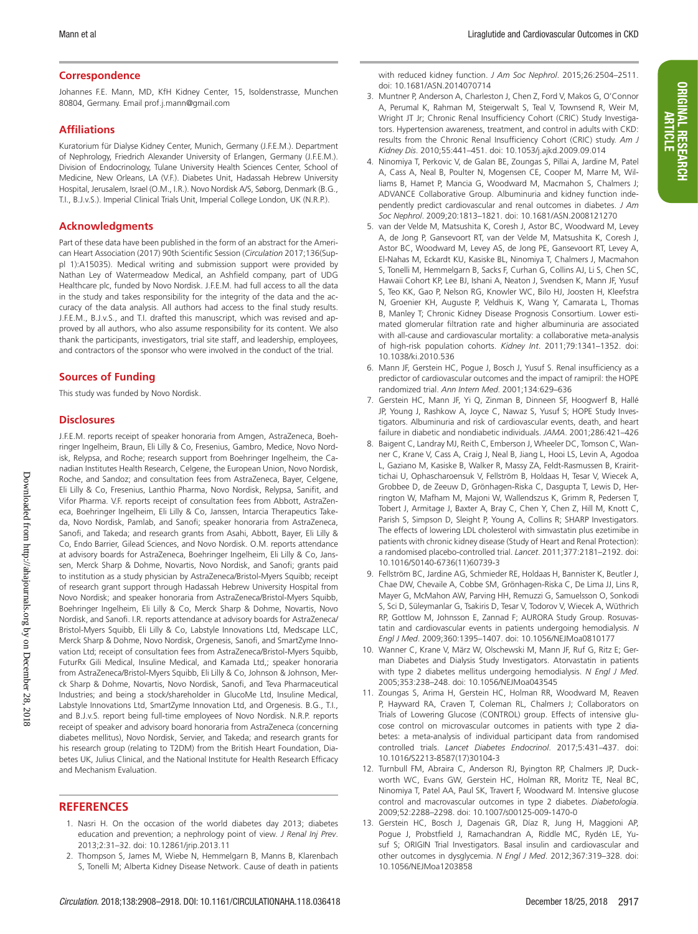ORIGINAL RESEARCH ARTICLE

**ORIGINAL RESEARCH** 

#### **Correspondence**

Johannes F.E. Mann, MD, KfH Kidney Center, 15, Isoldenstrasse, Munchen 80804, Germany. Email [prof.j.mann@gmail.com](mailto:﻿prof.j.mann@gmail.com﻿)

#### **Affiliations**

Kuratorium für Dialyse Kidney Center, Munich, Germany (J.F.E.M.). Department of Nephrology, Friedrich Alexander University of Erlangen, Germany (J.F.E.M.). Division of Endocrinology, Tulane University Health Sciences Center, School of Medicine, New Orleans, LA (V.F.). Diabetes Unit, Hadassah Hebrew University Hospital, Jerusalem, Israel (O.M., I.R.). Novo Nordisk A/S, Søborg, Denmark (B.G., T.I., B.J.v.S.). Imperial Clinical Trials Unit, Imperial College London, UK (N.R.P.).

#### **Acknowledgments**

Part of these data have been published in the form of an abstract for the American Heart Association (2017) 90th Scientific Session (*Circulation* 2017;136(Suppl 1):A15035). Medical writing and submission support were provided by Nathan Ley of Watermeadow Medical, an Ashfield company, part of UDG Healthcare plc, funded by Novo Nordisk. J.F.E.M. had full access to all the data in the study and takes responsibility for the integrity of the data and the accuracy of the data analysis. All authors had access to the final study results. J.F.E.M., B.J.v.S., and T.I. drafted this manuscript, which was revised and approved by all authors, who also assume responsibility for its content. We also thank the participants, investigators, trial site staff, and leadership, employees, and contractors of the sponsor who were involved in the conduct of the trial.

#### **Sources of Funding**

This study was funded by Novo Nordisk.

#### **Disclosures**

J.F.E.M. reports receipt of speaker honoraria from Amgen, AstraZeneca, Boehringer Ingelheim, Braun, Eli Lilly & Co, Fresenius, Gambro, Medice, Novo Nordisk, Relypsa, and Roche; research support from Boehringer Ingelheim, the Canadian Institutes Health Research, Celgene, the European Union, Novo Nordisk, Roche, and Sandoz; and consultation fees from AstraZeneca, Bayer, Celgene, Eli Lilly & Co, Fresenius, Lanthio Pharma, Novo Nordisk, Relypsa, Sanifit, and Vifor Pharma. V.F. reports receipt of consultation fees from Abbott, AstraZeneca, Boehringer Ingelheim, Eli Lilly & Co, Janssen, Intarcia Therapeutics Takeda, Novo Nordisk, Pamlab, and Sanofi; speaker honoraria from AstraZeneca, Sanofi, and Takeda; and research grants from Asahi, Abbott, Bayer, Eli Lilly & Co, Endo Barrier, Gilead Sciences, and Novo Nordisk. O.M. reports attendance at advisory boards for AstraZeneca, Boehringer Ingelheim, Eli Lilly & Co, Janssen, Merck Sharp & Dohme, Novartis, Novo Nordisk, and Sanofi; grants paid to institution as a study physician by AstraZeneca/Bristol-Myers Squibb; receipt of research grant support through Hadassah Hebrew University Hospital from Novo Nordisk; and speaker honoraria from AstraZeneca/Bristol-Myers Squibb, Boehringer Ingelheim, Eli Lilly & Co, Merck Sharp & Dohme, Novartis, Novo Nordisk, and Sanofi. I.R. reports attendance at advisory boards for AstraZeneca/ Bristol-Myers Squibb, Eli Lilly & Co, Labstyle Innovations Ltd, Medscape LLC, Merck Sharp & Dohme, Novo Nordisk, Orgenesis, Sanofi, and SmartZyme Innovation Ltd; receipt of consultation fees from AstraZeneca/Bristol-Myers Squibb, FuturRx Gili Medical, Insuline Medical, and Kamada Ltd,; speaker honoraria from AstraZeneca/Bristol-Myers Squibb, Eli Lilly & Co, Johnson & Johnson, Merck Sharp & Dohme, Novartis, Novo Nordisk, Sanofi, and Teva Pharmaceutical Industries; and being a stock/shareholder in GlucoMe Ltd, Insuline Medical, Labstyle Innovations Ltd, SmartZyme Innovation Ltd, and Orgenesis. B.G., T.I., and B.J.v.S. report being full-time employees of Novo Nordisk. N.R.P. reports receipt of speaker and advisory board honoraria from AstraZeneca (concerning diabetes mellitus), Novo Nordisk, Servier, and Takeda; and research grants for his research group (relating to T2DM) from the British Heart Foundation, Diabetes UK, Julius Clinical, and the National Institute for Health Research Efficacy and Mechanism Evaluation.

#### **REFERENCES**

- 1. Nasri H. On the occasion of the world diabetes day 2013; diabetes education and prevention; a nephrology point of view. *J Renal Inj Prev*. 2013;2:31–32. doi: 10.12861/jrip.2013.11
- 2. Thompson S, James M, Wiebe N, Hemmelgarn B, Manns B, Klarenbach S, Tonelli M; Alberta Kidney Disease Network. Cause of death in patients

with reduced kidney function. *J Am Soc Nephrol*. 2015;26:2504–2511. doi: 10.1681/ASN.2014070714

- 3. Muntner P, Anderson A, Charleston J, Chen Z, Ford V, Makos G, O'Connor A, Perumal K, Rahman M, Steigerwalt S, Teal V, Townsend R, Weir M, Wright JT Jr; Chronic Renal Insufficiency Cohort (CRIC) Study Investigators. Hypertension awareness, treatment, and control in adults with CKD: results from the Chronic Renal Insufficiency Cohort (CRIC) study. *Am J Kidney Dis*. 2010;55:441–451. doi: 10.1053/j.ajkd.2009.09.014
- 4. Ninomiya T, Perkovic V, de Galan BE, Zoungas S, Pillai A, Jardine M, Patel A, Cass A, Neal B, Poulter N, Mogensen CE, Cooper M, Marre M, Williams B, Hamet P, Mancia G, Woodward M, Macmahon S, Chalmers J; ADVANCE Collaborative Group. Albuminuria and kidney function independently predict cardiovascular and renal outcomes in diabetes. *J Am Soc Nephrol*. 2009;20:1813–1821. doi: 10.1681/ASN.2008121270
- 5. van der Velde M, Matsushita K, Coresh J, Astor BC, Woodward M, Levey A, de Jong P, Gansevoort RT, van der Velde M, Matsushita K, Coresh J, Astor BC, Woodward M, Levey AS, de Jong PE, Gansevoort RT, Levey A, El-Nahas M, Eckardt KU, Kasiske BL, Ninomiya T, Chalmers J, Macmahon S, Tonelli M, Hemmelgarn B, Sacks F, Curhan G, Collins AJ, Li S, Chen SC, Hawaii Cohort KP, Lee BJ, Ishani A, Neaton J, Svendsen K, Mann JF, Yusuf S, Teo KK, Gao P, Nelson RG, Knowler WC, Bilo HJ, Joosten H, Kleefstra N, Groenier KH, Auguste P, Veldhuis K, Wang Y, Camarata L, Thomas B, Manley T; Chronic Kidney Disease Prognosis Consortium. Lower estimated glomerular filtration rate and higher albuminuria are associated with all-cause and cardiovascular mortality: a collaborative meta-analysis of high-risk population cohorts. *Kidney Int*. 2011;79:1341–1352. doi: 10.1038/ki.2010.536
- 6. Mann JF, Gerstein HC, Pogue J, Bosch J, Yusuf S. Renal insufficiency as a predictor of cardiovascular outcomes and the impact of ramipril: the HOPE randomized trial. *Ann Intern Med*. 2001;134:629–636
- 7. Gerstein HC, Mann JF, Yi Q, Zinman B, Dinneen SF, Hoogwerf B, Hallé JP, Young J, Rashkow A, Joyce C, Nawaz S, Yusuf S; HOPE Study Investigators. Albuminuria and risk of cardiovascular events, death, and heart failure in diabetic and nondiabetic individuals. *JAMA*. 2001;286:421–426
- 8. Baigent C, Landray MJ, Reith C, Emberson J, Wheeler DC, Tomson C, Wanner C, Krane V, Cass A, Craig J, Neal B, Jiang L, Hooi LS, Levin A, Agodoa L, Gaziano M, Kasiske B, Walker R, Massy ZA, Feldt-Rasmussen B, Krairittichai U, Ophascharoensuk V, Fellström B, Holdaas H, Tesar V, Wiecek A, Grobbee D, de Zeeuw D, Grönhagen-Riska C, Dasgupta T, Lewis D, Herrington W, Mafham M, Majoni W, Wallendszus K, Grimm R, Pedersen T, Tobert J, Armitage J, Baxter A, Bray C, Chen Y, Chen Z, Hill M, Knott C, Parish S, Simpson D, Sleight P, Young A, Collins R; SHARP Investigators. The effects of lowering LDL cholesterol with simvastatin plus ezetimibe in patients with chronic kidney disease (Study of Heart and Renal Protection): a randomised placebo-controlled trial. *Lancet*. 2011;377:2181–2192. doi: 10.1016/S0140-6736(11)60739-3
- 9. Fellström BC, Jardine AG, Schmieder RE, Holdaas H, Bannister K, Beutler J, Chae DW, Chevaile A, Cobbe SM, Grönhagen-Riska C, De Lima JJ, Lins R, Mayer G, McMahon AW, Parving HH, Remuzzi G, Samuelsson O, Sonkodi S, Sci D, Süleymanlar G, Tsakiris D, Tesar V, Todorov V, Wiecek A, Wüthrich RP, Gottlow M, Johnsson E, Zannad F; AURORA Study Group. Rosuvastatin and cardiovascular events in patients undergoing hemodialysis. *N Engl J Med*. 2009;360:1395–1407. doi: 10.1056/NEJMoa0810177
- 10. Wanner C, Krane V, März W, Olschewski M, Mann JF, Ruf G, Ritz E; German Diabetes and Dialysis Study Investigators. Atorvastatin in patients with type 2 diabetes mellitus undergoing hemodialysis. *N Engl J Med*. 2005;353:238–248. doi: 10.1056/NEJMoa043545
- 11. Zoungas S, Arima H, Gerstein HC, Holman RR, Woodward M, Reaven P, Hayward RA, Craven T, Coleman RL, Chalmers J; Collaborators on Trials of Lowering Glucose (CONTROL) group. Effects of intensive glucose control on microvascular outcomes in patients with type 2 diabetes: a meta-analysis of individual participant data from randomised controlled trials. *Lancet Diabetes Endocrinol*. 2017;5:431–437. doi: 10.1016/S2213-8587(17)30104-3
- 12. Turnbull FM, Abraira C, Anderson RJ, Byington RP, Chalmers JP, Duckworth WC, Evans GW, Gerstein HC, Holman RR, Moritz TE, Neal BC, Ninomiya T, Patel AA, Paul SK, Travert F, Woodward M. Intensive glucose control and macrovascular outcomes in type 2 diabetes. *Diabetologia*. 2009;52:2288–2298. doi: 10.1007/s00125-009-1470-0
- 13. Gerstein HC, Bosch J, Dagenais GR, Díaz R, Jung H, Maggioni AP, Pogue J, Probstfield J, Ramachandran A, Riddle MC, Rydén LE, Yusuf S; ORIGIN Trial Investigators. Basal insulin and cardiovascular and other outcomes in dysglycemia. *N Engl J Med*. 2012;367:319–328. doi: 10.1056/NEJMoa1203858